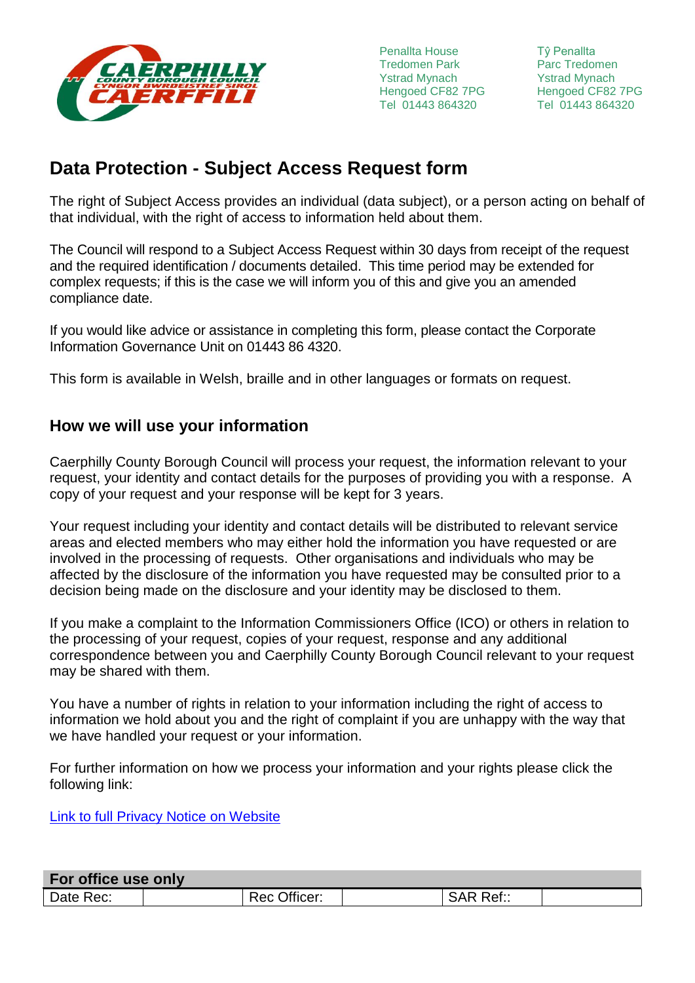

Penallta House Tredomen Park Ystrad Mynach Hengoed CF82 7PG Tel 01443 864320

**Reference**<br>Parc Tredomen Tŷ Penallta Ystrad Mynach Hengoed CF82 7PG Tel 01443 864320

# **Data Protection - Subject Access Request form**

The right of Subject Access provides an individual (data subject), or a person acting on behalf of that individual, with the right of access to information held about them.

The Council will respond to a Subject Access Request within 30 days from receipt of the request and the required identification / documents detailed. This time period may be extended for complex requests; if this is the case we will inform you of this and give you an amended compliance date.

If you would like advice or assistance in completing this form, please contact the Corporate Information Governance Unit on 01443 86 4320.

This form is available in Welsh, braille and in other languages or formats on request.

# **How we will use your information**

Caerphilly County Borough Council will process your request, the information relevant to your request, your identity and contact details for the purposes of providing you with a response. A copy of your request and your response will be kept for 3 years.

Your request including your identity and contact details will be distributed to relevant service areas and elected members who may either hold the information you have requested or are involved in the processing of requests. Other organisations and individuals who may be affected by the disclosure of the information you have requested may be consulted prior to a decision being made on the disclosure and your identity may be disclosed to them.

If you make a complaint to the Information Commissioners Office (ICO) or others in relation to the processing of your request, copies of your request, response and any additional correspondence between you and Caerphilly County Borough Council relevant to your request may be shared with them.

You have a number of rights in relation to your information including the right of access to information we hold about you and the right of complaint if you are unhappy with the way that we have handled your request or your information.

For further information on how we process your information and your rights please click the following link:

Link to full Privacy Notice on Website

| For office use only |                   |                     |  |  |
|---------------------|-------------------|---------------------|--|--|
| Date Rec:           | Officer:<br>Rec u | <b>SAR</b><br>Ref:: |  |  |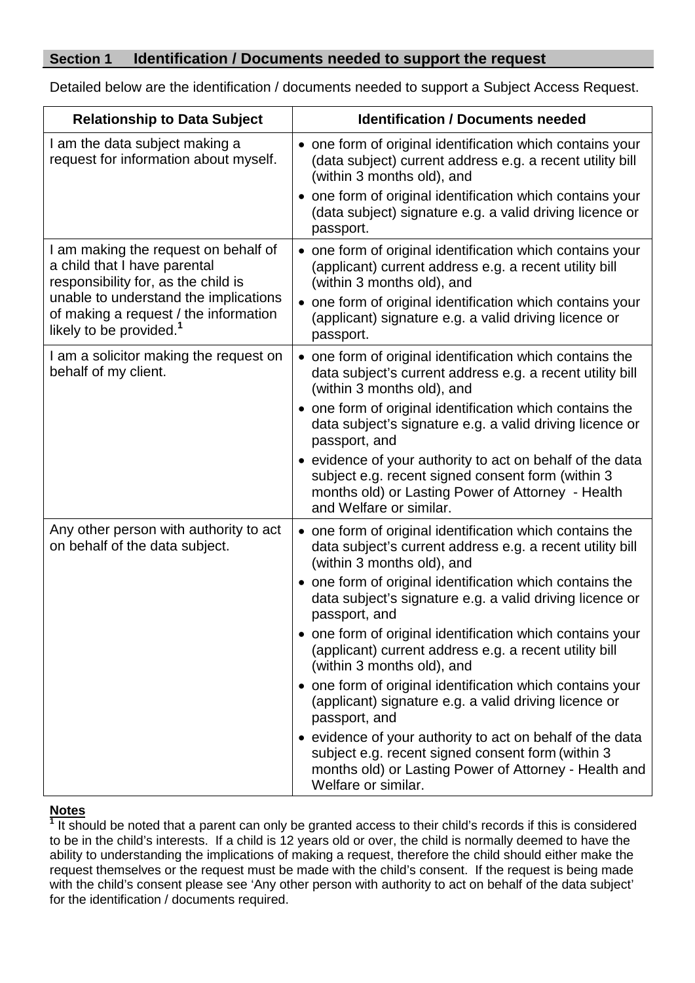#### **Section 1 Identification / Documents needed to support the request**

Detailed below are the identification / documents needed to support a Subject Access Request.

| <b>Relationship to Data Subject</b>                                                                                   | <b>Identification / Documents needed</b>                                                                                                                                                       |
|-----------------------------------------------------------------------------------------------------------------------|------------------------------------------------------------------------------------------------------------------------------------------------------------------------------------------------|
| I am the data subject making a<br>request for information about myself.                                               | • one form of original identification which contains your<br>(data subject) current address e.g. a recent utility bill<br>(within 3 months old), and                                           |
|                                                                                                                       | • one form of original identification which contains your<br>(data subject) signature e.g. a valid driving licence or<br>passport.                                                             |
| I am making the request on behalf of<br>a child that I have parental<br>responsibility for, as the child is           | • one form of original identification which contains your<br>(applicant) current address e.g. a recent utility bill<br>(within 3 months old), and                                              |
| unable to understand the implications<br>of making a request / the information<br>likely to be provided. <sup>1</sup> | • one form of original identification which contains your<br>(applicant) signature e.g. a valid driving licence or<br>passport.                                                                |
| I am a solicitor making the request on<br>behalf of my client.                                                        | • one form of original identification which contains the<br>data subject's current address e.g. a recent utility bill<br>(within 3 months old), and                                            |
|                                                                                                                       | • one form of original identification which contains the<br>data subject's signature e.g. a valid driving licence or<br>passport, and                                                          |
|                                                                                                                       | • evidence of your authority to act on behalf of the data<br>subject e.g. recent signed consent form (within 3<br>months old) or Lasting Power of Attorney - Health<br>and Welfare or similar. |
| Any other person with authority to act<br>on behalf of the data subject.                                              | • one form of original identification which contains the<br>data subject's current address e.g. a recent utility bill<br>(within 3 months old), and                                            |
|                                                                                                                       | • one form of original identification which contains the<br>data subject's signature e.g. a valid driving licence or<br>passport, and                                                          |
|                                                                                                                       | • one form of original identification which contains your<br>(applicant) current address e.g. a recent utility bill<br>(within 3 months old), and                                              |
|                                                                                                                       | • one form of original identification which contains your<br>(applicant) signature e.g. a valid driving licence or<br>passport, and                                                            |
|                                                                                                                       | • evidence of your authority to act on behalf of the data<br>subject e.g. recent signed consent form (within 3<br>months old) or Lasting Power of Attorney - Health and<br>Welfare or similar. |

#### **Notes**

<sup>1</sup> It should be noted that a parent can only be granted access to their child's records if this is considered to be in the child's interests. If a child is 12 years old or over, the child is normally deemed to have the ability to understanding the implications of making a request, therefore the child should either make the request themselves or the request must be made with the child's consent. If the request is being made with the child's consent please see 'Any other person with authority to act on behalf of the data subject' for the identification / documents required.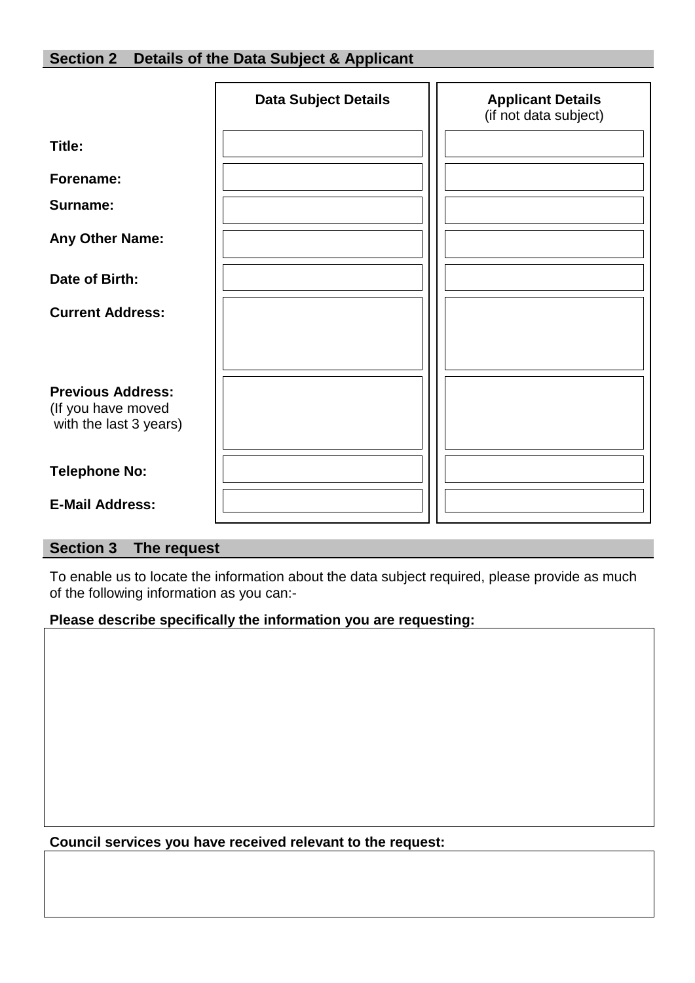|                                                                          | <b>Data Subject Details</b> | <b>Applicant Details</b><br>(if not data subject) |
|--------------------------------------------------------------------------|-----------------------------|---------------------------------------------------|
| Title:                                                                   |                             |                                                   |
| Forename:                                                                |                             |                                                   |
| Surname:                                                                 |                             |                                                   |
| Any Other Name:                                                          |                             |                                                   |
| Date of Birth:                                                           |                             |                                                   |
| <b>Current Address:</b>                                                  |                             |                                                   |
|                                                                          |                             |                                                   |
| <b>Previous Address:</b><br>(If you have moved<br>with the last 3 years) |                             |                                                   |
| <b>Telephone No:</b>                                                     |                             |                                                   |
| <b>E-Mail Address:</b>                                                   |                             |                                                   |

## **Section 3 The request**

To enable us to locate the information about the data subject required, please provide as much of the following information as you can:-

#### **Please describe specifically the information you are requesting:**

**Council services you have received relevant to the request:**